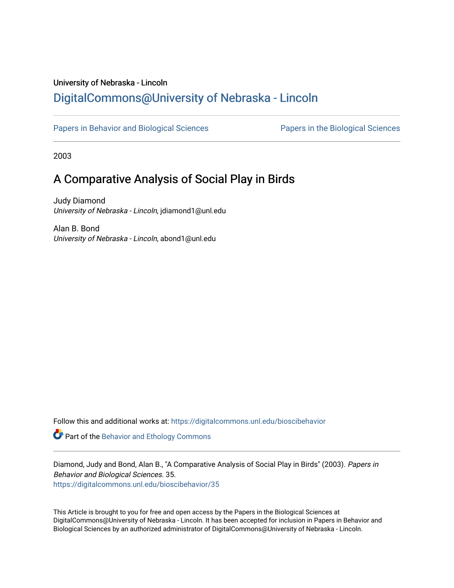## University of Nebraska - Lincoln [DigitalCommons@University of Nebraska - Lincoln](https://digitalcommons.unl.edu/)

[Papers in Behavior and Biological Sciences](https://digitalcommons.unl.edu/bioscibehavior) [Papers in the Biological Sciences](https://digitalcommons.unl.edu/bioscipapers) 

2003

# A Comparative Analysis of Social Play in Birds

Judy Diamond University of Nebraska - Lincoln, jdiamond1@unl.edu

Alan B. Bond University of Nebraska - Lincoln, abond1@unl.edu

Follow this and additional works at: [https://digitalcommons.unl.edu/bioscibehavior](https://digitalcommons.unl.edu/bioscibehavior?utm_source=digitalcommons.unl.edu%2Fbioscibehavior%2F35&utm_medium=PDF&utm_campaign=PDFCoverPages)

Part of the [Behavior and Ethology Commons](http://network.bepress.com/hgg/discipline/15?utm_source=digitalcommons.unl.edu%2Fbioscibehavior%2F35&utm_medium=PDF&utm_campaign=PDFCoverPages) 

Diamond, Judy and Bond, Alan B., "A Comparative Analysis of Social Play in Birds" (2003). Papers in Behavior and Biological Sciences. 35. [https://digitalcommons.unl.edu/bioscibehavior/35](https://digitalcommons.unl.edu/bioscibehavior/35?utm_source=digitalcommons.unl.edu%2Fbioscibehavior%2F35&utm_medium=PDF&utm_campaign=PDFCoverPages) 

This Article is brought to you for free and open access by the Papers in the Biological Sciences at DigitalCommons@University of Nebraska - Lincoln. It has been accepted for inclusion in Papers in Behavior and Biological Sciences by an authorized administrator of DigitalCommons@University of Nebraska - Lincoln.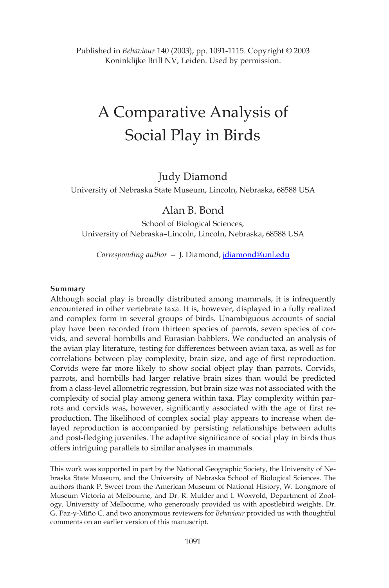Published in *Behaviour* 140 (2003), pp. 1091-1115. Copyright © 2003 Koninklijke Brill NV, Leiden. Used by permission.

# A Comparative Analysis of Social Play in Birds

#### Judy Diamond

University of Nebraska State Museum, Lincoln, Nebraska, 68588 USA

### Alan B. Bond

School of Biological Sciences, University of Nebraska–Lincoln, Lincoln, Nebraska, 68588 USA

*Corresponding author —* J. Diamond, jdiamond@unl.edu

#### **Summary**

Although social play is broadly distributed among mammals, it is infrequently encountered in other vertebrate taxa. It is, however, displayed in a fully realized and complex form in several groups of birds. Unambiguous accounts of social play have been recorded from thirteen species of parrots, seven species of corvids, and several hornbills and Eurasian babblers. We conducted an analysis of the avian play literature, testing for differences between avian taxa, as well as for correlations between play complexity, brain size, and age of first reproduction. Corvids were far more likely to show social object play than parrots. Corvids, parrots, and hornbills had larger relative brain sizes than would be predicted from a class-level allometric regression, but brain size was not associated with the complexity of social play among genera within taxa. Play complexity within parrots and corvids was, however, significantly associated with the age of first reproduction. The likelihood of complex social play appears to increase when delayed reproduction is accompanied by persisting relationships between adults and post-fledging juveniles. The adaptive significance of social play in birds thus offers intriguing parallels to similar analyses in mammals.

This work was supported in part by the National Geographic Society, the University of Nebraska State Museum, and the University of Nebraska School of Biological Sciences. The authors thank P. Sweet from the American Museum of National History, W. Longmore of Museum Victoria at Melbourne, and Dr. R. Mulder and I. Woxvold, Department of Zoology, University of Melbourne, who generously provided us with apostlebird weights. Dr. G. Paz-y-Miño C. and two anonymous reviewers for *Behaviour* provided us with thoughtful comments on an earlier version of this manuscript.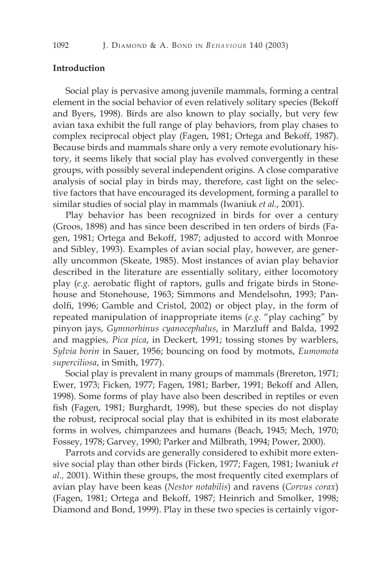#### **Introduction**

Social play is pervasive among juvenile mammals, forming a central element in the social behavior of even relatively solitary species (Bekoff and Byers, 1998). Birds are also known to play socially, but very few avian taxa exhibit the full range of play behaviors, from play chases to complex reciprocal object play (Fagen, 1981; Ortega and Bekoff, 1987). Because birds and mammals share only a very remote evolutionary history, it seems likely that social play has evolved convergently in these groups, with possibly several independent origins. A close comparative analysis of social play in birds may, therefore, cast light on the selective factors that have encouraged its development, forming a parallel to similar studies of social play in mammals (Iwaniuk *et al.*, 2001).

Play behavior has been recognized in birds for over a century (Groos, 1898) and has since been described in ten orders of birds (Fagen, 1981; Ortega and Bekoff, 1987; adjusted to accord with Monroe and Sibley, 1993). Examples of avian social play, however, are generally uncommon (Skeate, 1985). Most instances of avian play behavior described in the literature are essentially solitary, either locomotory play (*e.g.* aerobatic flight of raptors, gulls and frigate birds in Stonehouse and Stonehouse, 1963; Simmons and Mendelsohn, 1993; Pandolfi, 1996; Gamble and Cristol, 2002) or object play, in the form of repeated manipulation of inappropriate items (*e.g.* "play caching" by pinyon jays, *Gymnorhinus cyanocephalus*, in Marzluff and Balda, 1992 and magpies, *Pica pica*, in Deckert, 1991; tossing stones by warblers, *Sylvia borin* in Sauer, 1956; bouncing on food by motmots, *Eumomota superciliosa*, in Smith, 1977).

Social play is prevalent in many groups of mammals (Brereton, 1971; Ewer, 1973; Ficken, 1977; Fagen, 1981; Barber, 1991; Bekoff and Allen, 1998). Some forms of play have also been described in reptiles or even fish (Fagen, 1981; Burghardt, 1998), but these species do not display the robust, reciprocal social play that is exhibited in its most elaborate forms in wolves, chimpanzees and humans (Beach, 1945; Mech, 1970; Fossey, 1978; Garvey, 1990; Parker and Milbrath, 1994; Power, 2000).

Parrots and corvids are generally considered to exhibit more extensive social play than other birds (Ficken, 1977; Fagen, 1981; Iwaniuk *et al.,* 2001). Within these groups, the most frequently cited exemplars of avian play have been keas (*Nestor notabilis*) and ravens (*Corvus corax*) (Fagen, 1981; Ortega and Bekoff, 1987; Heinrich and Smolker, 1998; Diamond and Bond, 1999). Play in these two species is certainly vigor-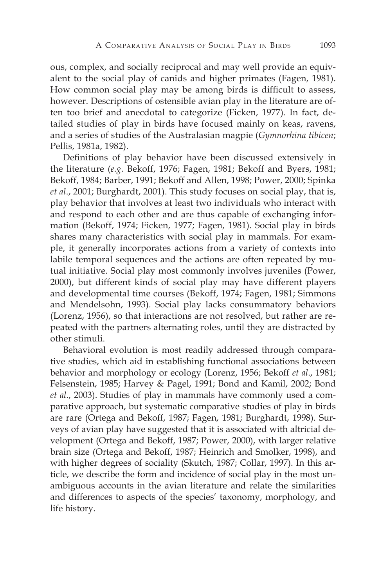ous, complex, and socially reciprocal and may well provide an equivalent to the social play of canids and higher primates (Fagen, 1981). How common social play may be among birds is difficult to assess, however. Descriptions of ostensible avian play in the literature are often too brief and anecdotal to categorize (Ficken, 1977). In fact, detailed studies of play in birds have focused mainly on keas, ravens, and a series of studies of the Australasian magpie (*Gymnorhina tibicen*; Pellis, 1981a, 1982).

Definitions of play behavior have been discussed extensively in the literature (*e.g.* Bekoff, 1976; Fagen, 1981; Bekoff and Byers, 1981; Bekoff, 1984; Barber, 1991; Bekoff and Allen, 1998; Power, 2000; Spinka *et al*., 2001; Burghardt, 2001). This study focuses on social play, that is, play behavior that involves at least two individuals who interact with and respond to each other and are thus capable of exchanging information (Bekoff, 1974; Ficken, 1977; Fagen, 1981). Social play in birds shares many characteristics with social play in mammals. For example, it generally incorporates actions from a variety of contexts into labile temporal sequences and the actions are often repeated by mutual initiative. Social play most commonly involves juveniles (Power, 2000), but different kinds of social play may have different players and developmental time courses (Bekoff, 1974; Fagen, 1981; Simmons and Mendelsohn, 1993). Social play lacks consummatory behaviors (Lorenz, 1956), so that interactions are not resolved, but rather are repeated with the partners alternating roles, until they are distracted by other stimuli.

Behavioral evolution is most readily addressed through comparative studies, which aid in establishing functional associations between behavior and morphology or ecology (Lorenz, 1956; Bekoff *et al*., 1981; Felsenstein, 1985; Harvey & Pagel, 1991; Bond and Kamil, 2002; Bond *et al.*, 2003). Studies of play in mammals have commonly used a comparative approach, but systematic comparative studies of play in birds are rare (Ortega and Bekoff, 1987; Fagen, 1981; Burghardt, 1998). Surveys of avian play have suggested that it is associated with altricial development (Ortega and Bekoff, 1987; Power, 2000), with larger relative brain size (Ortega and Bekoff, 1987; Heinrich and Smolker, 1998), and with higher degrees of sociality (Skutch, 1987; Collar, 1997). In this article, we describe the form and incidence of social play in the most unambiguous accounts in the avian literature and relate the similarities and differences to aspects of the species' taxonomy, morphology, and life history.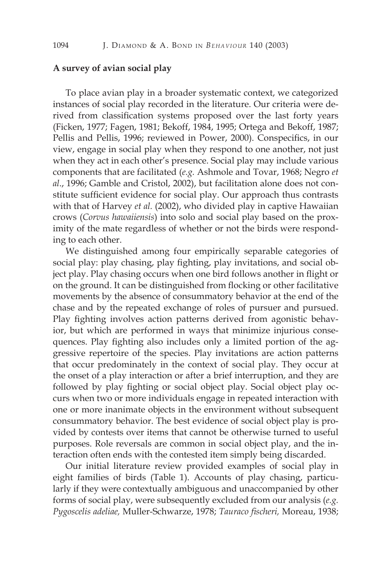#### **A survey of avian social play**

To place avian play in a broader systematic context, we categorized instances of social play recorded in the literature. Our criteria were derived from classification systems proposed over the last forty years (Ficken, 1977; Fagen, 1981; Bekoff, 1984, 1995; Ortega and Bekoff, 1987; Pellis and Pellis, 1996; reviewed in Power, 2000). Conspecifics, in our view, engage in social play when they respond to one another, not just when they act in each other's presence. Social play may include various components that are facilitated (*e.g.* Ashmole and Tovar, 1968; Negro *et al*., 1996; Gamble and Cristol, 2002), but facilitation alone does not constitute sufficient evidence for social play. Our approach thus contrasts with that of Harvey *et al.* (2002), who divided play in captive Hawaiian crows (*Corvus hawaiiensis*) into solo and social play based on the proximity of the mate regardless of whether or not the birds were responding to each other.

We distinguished among four empirically separable categories of social play: play chasing, play fighting, play invitations, and social object play. Play chasing occurs when one bird follows another in flight or on the ground. It can be distinguished from flocking or other facilitative movements by the absence of consummatory behavior at the end of the chase and by the repeated exchange of roles of pursuer and pursued. Play fighting involves action patterns derived from agonistic behavior, but which are performed in ways that minimize injurious consequences. Play fighting also includes only a limited portion of the aggressive repertoire of the species. Play invitations are action patterns that occur predominately in the context of social play. They occur at the onset of a play interaction or after a brief interruption, and they are followed by play fighting or social object play. Social object play occurs when two or more individuals engage in repeated interaction with one or more inanimate objects in the environment without subsequent consummatory behavior. The best evidence of social object play is provided by contests over items that cannot be otherwise turned to useful purposes. Role reversals are common in social object play, and the interaction often ends with the contested item simply being discarded.

Our initial literature review provided examples of social play in eight families of birds (Table 1). Accounts of play chasing, particularly if they were contextually ambiguous and unaccompanied by other forms of social play, were subsequently excluded from our analysis (*e.g. Pygoscelis adeliae,* Muller-Schwarze, 1978; *Tauraco fischeri,* Moreau, 1938;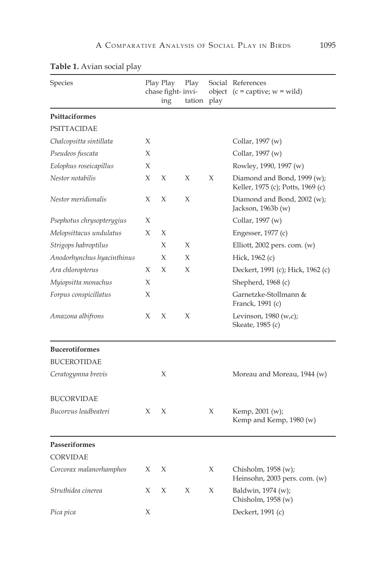| Species                    |   | Play Play<br>chase fight- invi-<br>ing | Play<br>tation | object<br>play | Social References<br>$(c = \text{capture}; w = \text{wild})$     |
|----------------------------|---|----------------------------------------|----------------|----------------|------------------------------------------------------------------|
| Psittaciformes             |   |                                        |                |                |                                                                  |
| <b>PSITTACIDAE</b>         |   |                                        |                |                |                                                                  |
| Chalcopsitta sintillata    | X |                                        |                |                | Collar, 1997 (w)                                                 |
| Pseudeos fuscata           | X |                                        |                |                | Collar, 1997 (w)                                                 |
| Eolophus roseicapillus     | X |                                        |                |                | Rowley, 1990, 1997 (w)                                           |
| Nestor notabilis           | X | X                                      | X              | X              | Diamond and Bond, 1999 (w);<br>Keller, 1975 (c); Potts, 1969 (c) |
| Nestor meridionalis        | X | $\chi$                                 | X              |                | Diamond and Bond, 2002 (w);<br>Jackson, 1963b (w)                |
| Psephotus chrysopterygius  | X |                                        |                |                | Collar, 1997 (w)                                                 |
| Melopsittacus undulatus    | X | X                                      |                |                | Engesser, 1977 (c)                                               |
| Strigops habroptilus       |   | X                                      | X              |                | Elliott, 2002 pers. com. $(w)$                                   |
| Anodorhynchus hyacinthinus |   | X                                      | X              |                | Hick, 1962 (c)                                                   |
| Ara chloropterus           | X | X                                      | X              |                | Deckert, 1991 (c); Hick, 1962 (c)                                |
| Myiopsitta monachus        | X |                                        |                |                | Shepherd, 1968 (c)                                               |
| Forpus conspicillatus      | X |                                        |                |                | Garnetzke-Stollmann &<br>Franck, 1991 (c)                        |
| Amazona albifrons          | X | X                                      | Х              |                | Levinson, $1980(w,c)$ ;<br>Skeate, 1985 (c)                      |
| <b>Bucerotiformes</b>      |   |                                        |                |                |                                                                  |
| <b>BUCEROTIDAE</b>         |   |                                        |                |                |                                                                  |
| Ceratogymna brevis         |   | X                                      |                |                | Moreau and Moreau, 1944 (w)                                      |
| <b>BUCORVIDAE</b>          |   |                                        |                |                |                                                                  |
| Bucorvus leadbeateri       | X | X                                      |                | X              | Kemp, 2001 (w);<br>Kemp and Kemp, 1980 (w)                       |
| <b>Passeriformes</b>       |   |                                        |                |                |                                                                  |
| <b>CORVIDAE</b>            |   |                                        |                |                |                                                                  |
| Corcorax malanorhamphos    | X | X                                      |                | Х              | Chisholm, $1958(w)$ ;<br>Heinsohn, 2003 pers. com. (w)           |
| Struthidea cinerea         | X | X                                      | X              | Х              | Baldwin, 1974 (w);<br>Chisholm, 1958 (w)                         |
| Pica pica                  | X |                                        |                |                | Deckert, 1991 (c)                                                |

## **Table 1.** Avian social play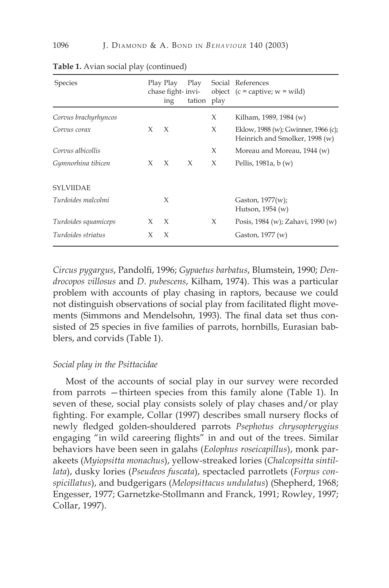| <b>Species</b>       |       | Play Play<br>chase fight-invi-<br>ing | Play<br>tation play |   | Social References<br>object $(c =$ captive; $w =$ wild)               |
|----------------------|-------|---------------------------------------|---------------------|---|-----------------------------------------------------------------------|
| Corvus brachyrhyncos |       |                                       |                     | X | Kilham, 1989, 1984 (w)                                                |
| Corvus corax         | X     | $\chi$                                |                     | X | Eklow, 1988 (w); Gwinner, 1966 (c);<br>Heinrich and Smolker, 1998 (w) |
| Corvus albicollis    |       |                                       |                     | X | Moreau and Moreau, 1944 (w)                                           |
| Gymnorhina tibicen   | $X -$ | $\chi$                                | X                   | X | Pellis, 1981a, b $(w)$                                                |
| <b>SYLVIIDAE</b>     |       |                                       |                     |   |                                                                       |
| Turdoides malcolmi   |       | $\chi$                                |                     |   | Gaston, 1977(w);<br>Hutson, $1954(w)$                                 |
| Turdoides squamiceps | X     | $\chi$                                |                     | X | Posis, 1984 (w); Zahavi, 1990 (w)                                     |
| Turdoides striatus   | X     | X                                     |                     |   | Gaston, 1977 (w)                                                      |

| Table 1. Avian social play (continued) |  |  |
|----------------------------------------|--|--|
|----------------------------------------|--|--|

*Circus pygargus*, Pandolfi, 1996; *Gypaetus barbatus*, Blumstein, 1990; *Dendrocopos villosus* and *D. pubescens*, Kilham, 1974). This was a particular problem with accounts of play chasing in raptors, because we could not distinguish observations of social play from facilitated flight movements (Simmons and Mendelsohn, 1993). The final data set thus consisted of 25 species in five families of parrots, hornbills, Eurasian babblers, and corvids (Table 1).

#### *Social play in the Psittacidae*

Most of the accounts of social play in our survey were recorded from parrots —thirteen species from this family alone (Table 1). In seven of these, social play consists solely of play chases and/or play fighting. For example, Collar (1997) describes small nursery flocks of newly fledged golden-shouldered parrots *Psephotus chrysopterygius*  engaging "in wild careering flights" in and out of the trees. Similar behaviors have been seen in galahs (*Eolophus roseicapillus*), monk parakeets (*Myiopsitta monachus*), yellow-streaked lories (*Chalcopsitta sintillata*), dusky lories (*Pseudeos fuscata*), spectacled parrotlets (*Forpus conspicillatus*), and budgerigars (*Melopsittacus undulatus*) (Shepherd, 1968; Engesser, 1977; Garnetzke-Stollmann and Franck, 1991; Rowley, 1997; Collar, 1997).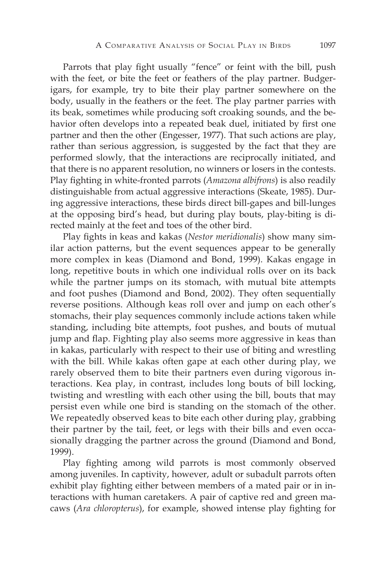Parrots that play fight usually "fence" or feint with the bill, push with the feet, or bite the feet or feathers of the play partner. Budgerigars, for example, try to bite their play partner somewhere on the body, usually in the feathers or the feet. The play partner parries with its beak, sometimes while producing soft croaking sounds, and the behavior often develops into a repeated beak duel, initiated by first one partner and then the other (Engesser, 1977). That such actions are play, rather than serious aggression, is suggested by the fact that they are performed slowly, that the interactions are reciprocally initiated, and that there is no apparent resolution, no winners or losers in the contests. Play fighting in white-fronted parrots (*Amazona albifrons*) is also readily distinguishable from actual aggressive interactions (Skeate, 1985). During aggressive interactions, these birds direct bill-gapes and bill-lunges at the opposing bird's head, but during play bouts, play-biting is directed mainly at the feet and toes of the other bird.

Play fights in keas and kakas (*Nestor meridionalis*) show many similar action patterns, but the event sequences appear to be generally more complex in keas (Diamond and Bond, 1999). Kakas engage in long, repetitive bouts in which one individual rolls over on its back while the partner jumps on its stomach, with mutual bite attempts and foot pushes (Diamond and Bond, 2002). They often sequentially reverse positions. Although keas roll over and jump on each other's stomachs, their play sequences commonly include actions taken while standing, including bite attempts, foot pushes, and bouts of mutual jump and flap. Fighting play also seems more aggressive in keas than in kakas, particularly with respect to their use of biting and wrestling with the bill. While kakas often gape at each other during play, we rarely observed them to bite their partners even during vigorous interactions. Kea play, in contrast, includes long bouts of bill locking, twisting and wrestling with each other using the bill, bouts that may persist even while one bird is standing on the stomach of the other. We repeatedly observed keas to bite each other during play, grabbing their partner by the tail, feet, or legs with their bills and even occasionally dragging the partner across the ground (Diamond and Bond, 1999).

Play fighting among wild parrots is most commonly observed among juveniles. In captivity, however, adult or subadult parrots often exhibit play fighting either between members of a mated pair or in interactions with human caretakers. A pair of captive red and green macaws (*Ara chloropterus*), for example, showed intense play fighting for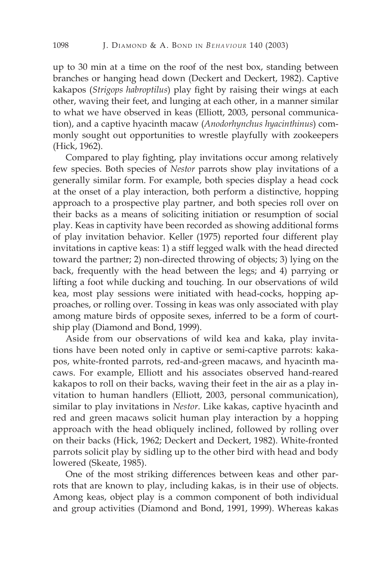up to 30 min at a time on the roof of the nest box, standing between branches or hanging head down (Deckert and Deckert, 1982). Captive kakapos (*Strigops habroptilus*) play fight by raising their wings at each other, waving their feet, and lunging at each other, in a manner similar to what we have observed in keas (Elliott, 2003, personal communication), and a captive hyacinth macaw (*Anodorhynchus hyacinthinus*) commonly sought out opportunities to wrestle playfully with zookeepers (Hick, 1962).

Compared to play fighting, play invitations occur among relatively few species. Both species of *Nestor* parrots show play invitations of a generally similar form. For example, both species display a head cock at the onset of a play interaction, both perform a distinctive, hopping approach to a prospective play partner, and both species roll over on their backs as a means of soliciting initiation or resumption of social play. Keas in captivity have been recorded as showing additional forms of play invitation behavior. Keller (1975) reported four different play invitations in captive keas: 1) a stiff legged walk with the head directed toward the partner; 2) non-directed throwing of objects; 3) lying on the back, frequently with the head between the legs; and 4) parrying or lifting a foot while ducking and touching. In our observations of wild kea, most play sessions were initiated with head-cocks, hopping approaches, or rolling over. Tossing in keas was only associated with play among mature birds of opposite sexes, inferred to be a form of courtship play (Diamond and Bond, 1999).

Aside from our observations of wild kea and kaka, play invitations have been noted only in captive or semi-captive parrots: kakapos, white-fronted parrots, red-and-green macaws, and hyacinth macaws. For example, Elliott and his associates observed hand-reared kakapos to roll on their backs, waving their feet in the air as a play invitation to human handlers (Elliott, 2003, personal communication), similar to play invitations in *Nestor*. Like kakas, captive hyacinth and red and green macaws solicit human play interaction by a hopping approach with the head obliquely inclined, followed by rolling over on their backs (Hick, 1962; Deckert and Deckert, 1982). White-fronted parrots solicit play by sidling up to the other bird with head and body lowered (Skeate, 1985).

One of the most striking differences between keas and other parrots that are known to play, including kakas, is in their use of objects. Among keas, object play is a common component of both individual and group activities (Diamond and Bond, 1991, 1999). Whereas kakas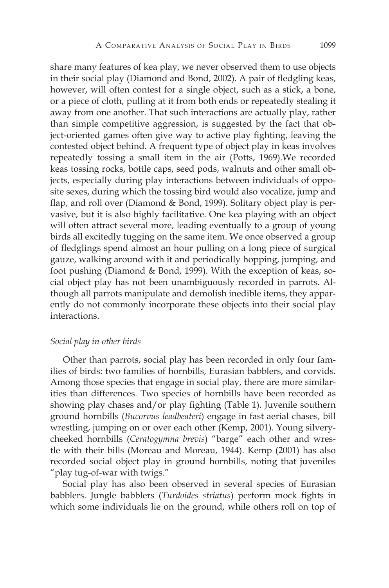share many features of kea play, we never observed them to use objects in their social play (Diamond and Bond, 2002). A pair of fledgling keas, however, will often contest for a single object, such as a stick, a bone, or a piece of cloth, pulling at it from both ends or repeatedly stealing it away from one another. That such interactions are actually play, rather than simple competitive aggression, is suggested by the fact that object-oriented games often give way to active play fighting, leaving the contested object behind. A frequent type of object play in keas involves repeatedly tossing a small item in the air (Potts, 1969).We recorded keas tossing rocks, bottle caps, seed pods, walnuts and other small objects, especially during play interactions between individuals of opposite sexes, during which the tossing bird would also vocalize, jump and flap, and roll over (Diamond & Bond, 1999). Solitary object play is pervasive, but it is also highly facilitative. One kea playing with an object will often attract several more, leading eventually to a group of young birds all excitedly tugging on the same item. We once observed a group of fledglings spend almost an hour pulling on a long piece of surgical gauze, walking around with it and periodically hopping, jumping, and foot pushing (Diamond & Bond, 1999). With the exception of keas, social object play has not been unambiguously recorded in parrots. Although all parrots manipulate and demolish inedible items, they apparently do not commonly incorporate these objects into their social play interactions.

#### *Social play in other birds*

Other than parrots, social play has been recorded in only four families of birds: two families of hornbills, Eurasian babblers, and corvids. Among those species that engage in social play, there are more similarities than differences. Two species of hornbills have been recorded as showing play chases and/or play fighting (Table 1). Juvenile southern ground hornbills (*Bucorvus leadbeateri*) engage in fast aerial chases, bill wrestling, jumping on or over each other (Kemp, 2001). Young silverycheeked hornbills (*Ceratogymna brevis*) "barge" each other and wrestle with their bills (Moreau and Moreau, 1944). Kemp (2001) has also recorded social object play in ground hornbills, noting that juveniles "play tug-of-war with twigs."

Social play has also been observed in several species of Eurasian babblers. Jungle babblers (*Turdoides striatus*) perform mock fights in which some individuals lie on the ground, while others roll on top of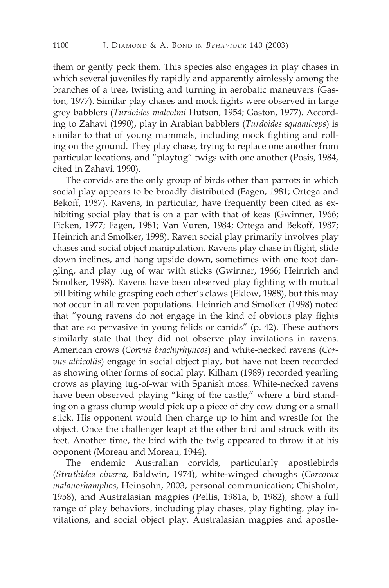them or gently peck them. This species also engages in play chases in which several juveniles fly rapidly and apparently aimlessly among the branches of a tree, twisting and turning in aerobatic maneuvers (Gaston, 1977). Similar play chases and mock fights were observed in large grey babblers (*Turdoides malcolmi* Hutson, 1954; Gaston, 1977). According to Zahavi (1990), play in Arabian babblers (*Turdoides squamiceps*) is similar to that of young mammals, including mock fighting and rolling on the ground. They play chase, trying to replace one another from particular locations, and "playtug" twigs with one another (Posis, 1984, cited in Zahavi, 1990).

The corvids are the only group of birds other than parrots in which social play appears to be broadly distributed (Fagen, 1981; Ortega and Bekoff, 1987). Ravens, in particular, have frequently been cited as exhibiting social play that is on a par with that of keas (Gwinner, 1966; Ficken, 1977; Fagen, 1981; Van Vuren, 1984; Ortega and Bekoff, 1987; Heinrich and Smolker, 1998). Raven social play primarily involves play chases and social object manipulation. Ravens play chase in flight, slide down inclines, and hang upside down, sometimes with one foot dangling, and play tug of war with sticks (Gwinner, 1966; Heinrich and Smolker, 1998). Ravens have been observed play fighting with mutual bill biting while grasping each other's claws (Eklow, 1988), but this may not occur in all raven populations. Heinrich and Smolker (1998) noted that "young ravens do not engage in the kind of obvious play fights that are so pervasive in young felids or canids" (p. 42). These authors similarly state that they did not observe play invitations in ravens. American crows (*Corvus brachyrhyncos*) and white-necked ravens (*Corvus albicollis*) engage in social object play, but have not been recorded as showing other forms of social play. Kilham (1989) recorded yearling crows as playing tug-of-war with Spanish moss. White-necked ravens have been observed playing "king of the castle," where a bird standing on a grass clump would pick up a piece of dry cow dung or a small stick. His opponent would then charge up to him and wrestle for the object. Once the challenger leapt at the other bird and struck with its feet. Another time, the bird with the twig appeared to throw it at his opponent (Moreau and Moreau, 1944).

The endemic Australian corvids, particularly apostlebirds (*Struthidea cinerea*, Baldwin, 1974), white-winged choughs (*Corcorax malanorhamphos*, Heinsohn, 2003, personal communication; Chisholm, 1958), and Australasian magpies (Pellis, 1981a, b, 1982), show a full range of play behaviors, including play chases, play fighting, play invitations, and social object play. Australasian magpies and apostle-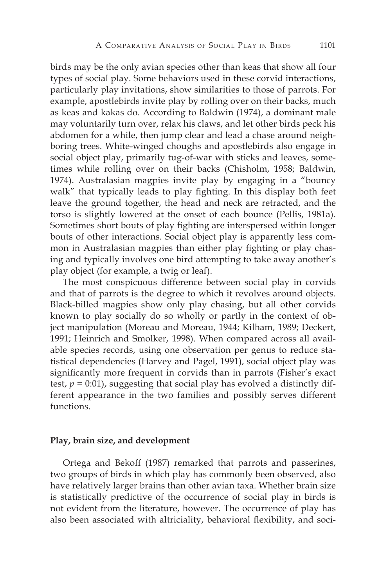birds may be the only avian species other than keas that show all four types of social play. Some behaviors used in these corvid interactions, particularly play invitations, show similarities to those of parrots. For example, apostlebirds invite play by rolling over on their backs, much as keas and kakas do. According to Baldwin (1974), a dominant male may voluntarily turn over, relax his claws, and let other birds peck his abdomen for a while, then jump clear and lead a chase around neighboring trees. White-winged choughs and apostlebirds also engage in social object play, primarily tug-of-war with sticks and leaves, sometimes while rolling over on their backs (Chisholm, 1958; Baldwin, 1974). Australasian magpies invite play by engaging in a "bouncy walk" that typically leads to play fighting. In this display both feet leave the ground together, the head and neck are retracted, and the torso is slightly lowered at the onset of each bounce (Pellis, 1981a). Sometimes short bouts of play fighting are interspersed within longer bouts of other interactions. Social object play is apparently less common in Australasian magpies than either play fighting or play chasing and typically involves one bird attempting to take away another's play object (for example, a twig or leaf).

The most conspicuous difference between social play in corvids and that of parrots is the degree to which it revolves around objects. Black-billed magpies show only play chasing, but all other corvids known to play socially do so wholly or partly in the context of object manipulation (Moreau and Moreau, 1944; Kilham, 1989; Deckert, 1991; Heinrich and Smolker, 1998). When compared across all available species records, using one observation per genus to reduce statistical dependencies (Harvey and Pagel, 1991), social object play was significantly more frequent in corvids than in parrots (Fisher's exact test,  $p = 0.01$ ), suggesting that social play has evolved a distinctly different appearance in the two families and possibly serves different functions.

#### **Play, brain size, and development**

Ortega and Bekoff (1987) remarked that parrots and passerines, two groups of birds in which play has commonly been observed, also have relatively larger brains than other avian taxa. Whether brain size is statistically predictive of the occurrence of social play in birds is not evident from the literature, however. The occurrence of play has also been associated with altriciality, behavioral flexibility, and soci-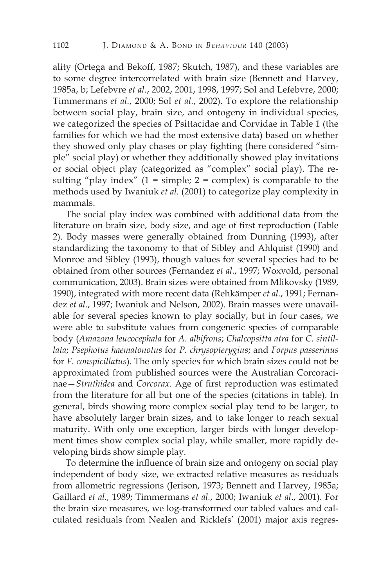ality (Ortega and Bekoff, 1987; Skutch, 1987), and these variables are to some degree intercorrelated with brain size (Bennett and Harvey, 1985a, b; Lefebvre *et al.*, 2002, 2001, 1998, 1997; Sol and Lefebvre, 2000; Timmermans *et al.*, 2000; Sol *et al.*, 2002). To explore the relationship between social play, brain size, and ontogeny in individual species, we categorized the species of Psittacidae and Corvidae in Table 1 (the families for which we had the most extensive data) based on whether they showed only play chases or play fighting (here considered "simple" social play) or whether they additionally showed play invitations or social object play (categorized as "complex" social play). The resulting "play index"  $(1 = \text{simple}; 2 = \text{complex})$  is comparable to the methods used by Iwaniuk *et al.* (2001) to categorize play complexity in mammals.

The social play index was combined with additional data from the literature on brain size, body size, and age of first reproduction (Table 2). Body masses were generally obtained from Dunning (1993), after standardizing the taxonomy to that of Sibley and Ahlquist (1990) and Monroe and Sibley (1993), though values for several species had to be obtained from other sources (Fernandez *et al.*, 1997; Woxvold, personal communication, 2003). Brain sizes were obtained from Mlikovsky (1989, 1990), integrated with more recent data (Rehkämper *et al.*, 1991; Fernandez *et al.*, 1997; Iwaniuk and Nelson, 2002). Brain masses were unavailable for several species known to play socially, but in four cases, we were able to substitute values from congeneric species of comparable body (*Amazona leucocephala* for *A. albifrons*; *Chalcopsitta atra* for *C. sintillata*; *Psephotus haematonotus* for *P. chrysopterygius*; and *Forpus passerinus*  for *F. conspicillatus*). The only species for which brain sizes could not be approximated from published sources were the Australian Corcoracinae—*Struthidea* and *Corcorax*. Age of first reproduction was estimated from the literature for all but one of the species (citations in table). In general, birds showing more complex social play tend to be larger, to have absolutely larger brain sizes, and to take longer to reach sexual maturity. With only one exception, larger birds with longer development times show complex social play, while smaller, more rapidly developing birds show simple play.

To determine the influence of brain size and ontogeny on social play independent of body size, we extracted relative measures as residuals from allometric regressions (Jerison, 1973; Bennett and Harvey, 1985a; Gaillard *et al.,* 1989; Timmermans *et al.*, 2000; Iwaniuk *et al*., 2001). For the brain size measures, we log-transformed our tabled values and calculated residuals from Nealen and Ricklefs' (2001) major axis regres-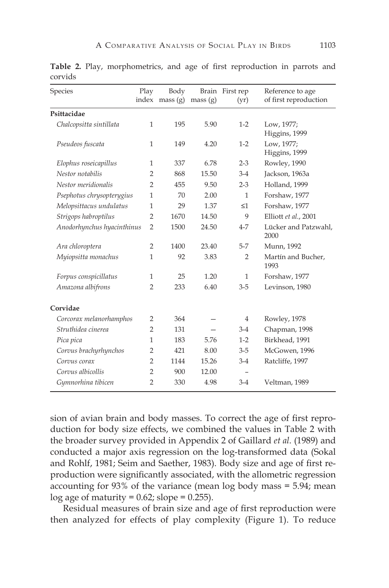| Species                    | Play           | Body             |         | Brain First rep | Reference to age             |
|----------------------------|----------------|------------------|---------|-----------------|------------------------------|
|                            |                | index mass $(g)$ | mass(g) | (yr)            | of first reproduction        |
| Psittacidae                |                |                  |         |                 |                              |
| Chalcopsitta sintillata    | $\mathbf{1}$   | 195              | 5.90    | $1-2$           | Low, 1977;<br>Higgins, 1999  |
| Pseudeos fuscata           | $\mathbf{1}$   | 149              | 4.20    | $1-2$           | Low, 1977;<br>Higgins, 1999  |
| Elophus roseicapillus      | $\mathbf{1}$   | 337              | 6.78    | $2 - 3$         | Rowley, 1990                 |
| Nestor notabilis           | 2              | 868              | 15.50   | $3-4$           | Jackson, 1963a               |
| Nestor meridionalis        | $\overline{2}$ | 455              | 9.50    | $2 - 3$         | Holland, 1999                |
| Psephotus chrysopterygius  | $\mathbf{1}$   | 70               | 2.00    | $\mathbf{1}$    | Forshaw, 1977                |
| Melopsittacus undulatus    | $\mathbf{1}$   | 29               | 1.37    | $\leq$ 1        | Forshaw, 1977                |
| Strigops habroptilus       | $\overline{2}$ | 1670             | 14.50   | 9               | Elliott et al., 2001         |
| Anodorhynchus hyacinthinus | $\overline{2}$ | 1500             | 24.50   | $4 - 7$         | Lücker and Patzwahl,<br>2000 |
| Ara chloroptera            | $\overline{2}$ | 1400             | 23.40   | $5 - 7$         | Munn, 1992                   |
| Myiopsitta monachus        | $\mathbf{1}$   | 92               | 3.83    | $\overline{2}$  | Martín and Bucher,<br>1993   |
| Forpus conspicillatus      | $\mathbf{1}$   | 25               | 1.20    | $\mathbf{1}$    | Forshaw, 1977                |
| Amazona albifrons          | 2              | 233              | 6.40    | $3 - 5$         | Levinson, 1980               |
| Corvidae                   |                |                  |         |                 |                              |
| Corcorax melanorhamphos    | $\overline{2}$ | 364              |         | $\overline{4}$  | Rowley, 1978                 |
| Struthidea cinerea         | $\overline{2}$ | 131              |         | $3-4$           | Chapman, 1998                |
| Pica pica                  | $\mathbf{1}$   | 183              | 5.76    | $1-2$           | Birkhead, 1991               |
| Corvus brachyrhynchos      | $\overline{2}$ | 421              | 8.00    | $3 - 5$         | McGowen, 1996                |
| Corvus corax               | $\overline{2}$ | 1144             | 15.26   | $3-4$           | Ratcliffe, 1997              |
| Corvus albicollis          | $\overline{2}$ | 900              | 12.00   |                 |                              |
| Gymnorhina tibicen         | $\overline{2}$ | 330              | 4.98    | $3 - 4$         | Veltman, 1989                |

**Table 2.** Play, morphometrics, and age of first reproduction in parrots and corvids

sion of avian brain and body masses. To correct the age of first reproduction for body size effects, we combined the values in Table 2 with the broader survey provided in Appendix 2 of Gaillard *et al.* (1989) and conducted a major axis regression on the log-transformed data (Sokal and Rohlf, 1981; Seim and Saether, 1983). Body size and age of first reproduction were significantly associated, with the allometric regression accounting for 93% of the variance (mean log body mass = 5.94; mean log age of maturity =  $0.62$ ; slope =  $0.255$ ).

Residual measures of brain size and age of first reproduction were then analyzed for effects of play complexity (Figure 1). To reduce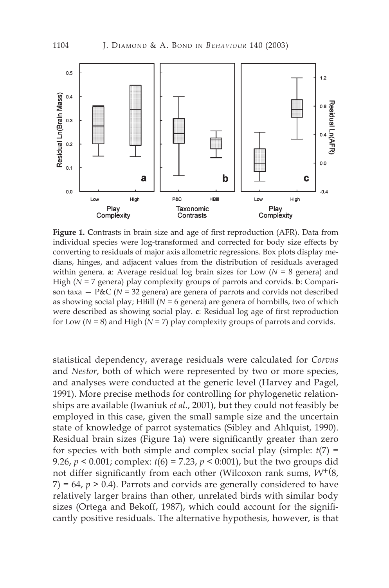

**Figure 1. C**ontrasts in brain size and age of first reproduction (AFR). Data from individual species were log-transformed and corrected for body size effects by converting to residuals of major axis allometric regressions. Box plots display medians, hinges, and adjacent values from the distribution of residuals averaged within genera. **a**: Average residual log brain sizes for Low (*N* = 8 genera) and High (*N* = 7 genera) play complexity groups of parrots and corvids. **b**: Comparison taxa  $-$  P&C ( $N = 32$  genera) are genera of parrots and corvids not described as showing social play; HBill (*N* = 6 genera) are genera of hornbills, two of which were described as showing social play. **c**: Residual log age of first reproduction for Low (*N* = 8) and High (*N* = 7) play complexity groups of parrots and corvids.

statistical dependency, average residuals were calculated for *Corvus*  and *Nestor*, both of which were represented by two or more species, and analyses were conducted at the generic level (Harvey and Pagel, 1991). More precise methods for controlling for phylogenetic relationships are available (Iwaniuk *et al.*, 2001), but they could not feasibly be employed in this case, given the small sample size and the uncertain state of knowledge of parrot systematics (Sibley and Ahlquist, 1990). Residual brain sizes (Figure 1a) were significantly greater than zero for species with both simple and complex social play (simple:  $t(7)$  = 9.26, *p* < 0.001; complex: *t*(6) = 7.23, *p* < 0:001), but the two groups did not differ significantly from each other (Wilcoxon rank sums, *W*+(8,  $(7) = 64$ ,  $p > 0.4$ ). Parrots and corvids are generally considered to have relatively larger brains than other, unrelated birds with similar body sizes (Ortega and Bekoff, 1987), which could account for the significantly positive residuals. The alternative hypothesis, however, is that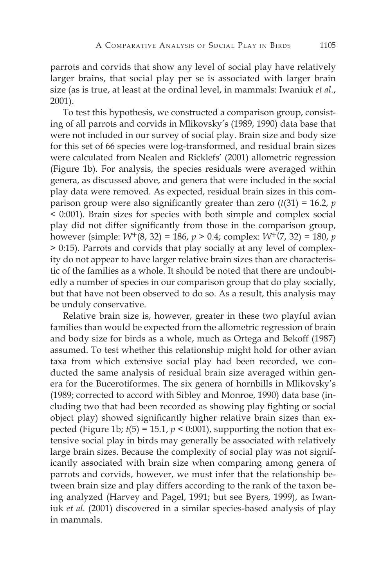parrots and corvids that show any level of social play have relatively larger brains, that social play per se is associated with larger brain size (as is true, at least at the ordinal level, in mammals: Iwaniuk *et al.*, 2001).

To test this hypothesis, we constructed a comparison group, consisting of all parrots and corvids in Mlikovsky's (1989, 1990) data base that were not included in our survey of social play. Brain size and body size for this set of 66 species were log-transformed, and residual brain sizes were calculated from Nealen and Ricklefs' (2001) allometric regression (Figure 1b). For analysis, the species residuals were averaged within genera, as discussed above, and genera that were included in the social play data were removed. As expected, residual brain sizes in this comparison group were also significantly greater than zero  $(t(31) = 16.2, p$ < 0:001). Brain sizes for species with both simple and complex social play did not differ significantly from those in the comparison group, however (simple: *W*+(8, 32) = 186, *p* > 0.4; complex: *W*+(7, 32) = 180, *p* > 0:15). Parrots and corvids that play socially at any level of complexity do not appear to have larger relative brain sizes than are characteristic of the families as a whole. It should be noted that there are undoubtedly a number of species in our comparison group that do play socially, but that have not been observed to do so. As a result, this analysis may be unduly conservative.

Relative brain size is, however, greater in these two playful avian families than would be expected from the allometric regression of brain and body size for birds as a whole, much as Ortega and Bekoff (1987) assumed. To test whether this relationship might hold for other avian taxa from which extensive social play had been recorded, we conducted the same analysis of residual brain size averaged within genera for the Bucerotiformes. The six genera of hornbills in Mlikovsky's (1989; corrected to accord with Sibley and Monroe, 1990) data base (including two that had been recorded as showing play fighting or social object play) showed significantly higher relative brain sizes than expected (Figure 1b;  $t(5) = 15.1$ ,  $p < 0.001$ ), supporting the notion that extensive social play in birds may generally be associated with relatively large brain sizes. Because the complexity of social play was not significantly associated with brain size when comparing among genera of parrots and corvids, however, we must infer that the relationship between brain size and play differs according to the rank of the taxon being analyzed (Harvey and Pagel, 1991; but see Byers, 1999), as Iwaniuk *et al.* (2001) discovered in a similar species-based analysis of play in mammals.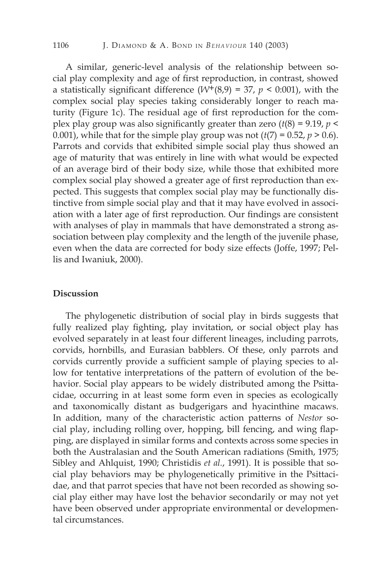A similar, generic-level analysis of the relationship between social play complexity and age of first reproduction, in contrast, showed a statistically significant difference  $(W^+(8,9) = 37, p < 0:001)$ , with the complex social play species taking considerably longer to reach maturity (Figure 1c). The residual age of first reproduction for the complex play group was also significantly greater than zero  $(t(8) = 9.19, p <$ 0.001), while that for the simple play group was not  $(t(7) = 0.52, p > 0.6)$ . Parrots and corvids that exhibited simple social play thus showed an age of maturity that was entirely in line with what would be expected of an average bird of their body size, while those that exhibited more complex social play showed a greater age of first reproduction than expected. This suggests that complex social play may be functionally distinctive from simple social play and that it may have evolved in association with a later age of first reproduction. Our findings are consistent with analyses of play in mammals that have demonstrated a strong association between play complexity and the length of the juvenile phase, even when the data are corrected for body size effects (Joffe, 1997; Pellis and Iwaniuk, 2000).

#### **Discussion**

The phylogenetic distribution of social play in birds suggests that fully realized play fighting, play invitation, or social object play has evolved separately in at least four different lineages, including parrots, corvids, hornbills, and Eurasian babblers. Of these, only parrots and corvids currently provide a sufficient sample of playing species to allow for tentative interpretations of the pattern of evolution of the behavior. Social play appears to be widely distributed among the Psittacidae, occurring in at least some form even in species as ecologically and taxonomically distant as budgerigars and hyacinthine macaws. In addition, many of the characteristic action patterns of *Nestor* social play, including rolling over, hopping, bill fencing, and wing flapping, are displayed in similar forms and contexts across some species in both the Australasian and the South American radiations (Smith, 1975; Sibley and Ahlquist, 1990; Christidis *et al.*, 1991). It is possible that social play behaviors may be phylogenetically primitive in the Psittacidae, and that parrot species that have not been recorded as showing social play either may have lost the behavior secondarily or may not yet have been observed under appropriate environmental or developmental circumstances.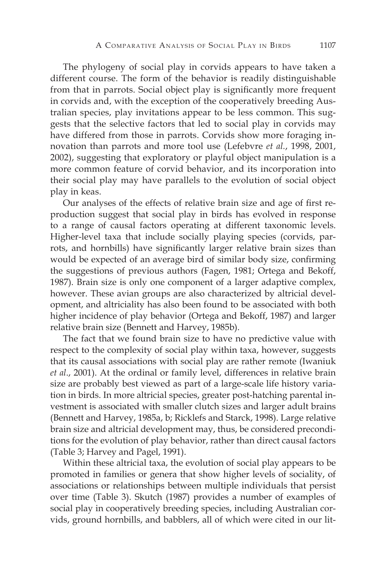The phylogeny of social play in corvids appears to have taken a different course. The form of the behavior is readily distinguishable from that in parrots. Social object play is significantly more frequent in corvids and, with the exception of the cooperatively breeding Australian species, play invitations appear to be less common. This suggests that the selective factors that led to social play in corvids may have differed from those in parrots. Corvids show more foraging innovation than parrots and more tool use (Lefebvre *et al.*, 1998, 2001, 2002), suggesting that exploratory or playful object manipulation is a more common feature of corvid behavior, and its incorporation into their social play may have parallels to the evolution of social object play in keas.

Our analyses of the effects of relative brain size and age of first reproduction suggest that social play in birds has evolved in response to a range of causal factors operating at different taxonomic levels. Higher-level taxa that include socially playing species (corvids, parrots, and hornbills) have significantly larger relative brain sizes than would be expected of an average bird of similar body size, confirming the suggestions of previous authors (Fagen, 1981; Ortega and Bekoff, 1987). Brain size is only one component of a larger adaptive complex, however. These avian groups are also characterized by altricial development, and altriciality has also been found to be associated with both higher incidence of play behavior (Ortega and Bekoff, 1987) and larger relative brain size (Bennett and Harvey, 1985b).

The fact that we found brain size to have no predictive value with respect to the complexity of social play within taxa, however, suggests that its causal associations with social play are rather remote (Iwaniuk *et al*., 2001). At the ordinal or family level, differences in relative brain size are probably best viewed as part of a large-scale life history variation in birds. In more altricial species, greater post-hatching parental investment is associated with smaller clutch sizes and larger adult brains (Bennett and Harvey, 1985a, b; Ricklefs and Starck, 1998). Large relative brain size and altricial development may, thus, be considered preconditions for the evolution of play behavior, rather than direct causal factors (Table 3; Harvey and Pagel, 1991).

Within these altricial taxa, the evolution of social play appears to be promoted in families or genera that show higher levels of sociality, of associations or relationships between multiple individuals that persist over time (Table 3). Skutch (1987) provides a number of examples of social play in cooperatively breeding species, including Australian corvids, ground hornbills, and babblers, all of which were cited in our lit-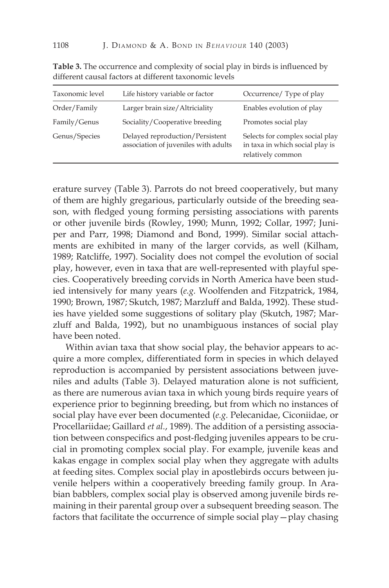| Taxonomic level | Life history variable or factor                                         | Occurrence/Type of play                                                                 |
|-----------------|-------------------------------------------------------------------------|-----------------------------------------------------------------------------------------|
| Order/Family    | Larger brain size/Altriciality                                          | Enables evolution of play                                                               |
| Family/Genus    | Sociality/Cooperative breeding                                          | Promotes social play                                                                    |
| Genus/Species   | Delayed reproduction/Persistent<br>association of juveniles with adults | Selects for complex social play<br>in taxa in which social play is<br>relatively common |

**Table 3.** The occurrence and complexity of social play in birds is influenced by different causal factors at different taxonomic levels

erature survey (Table 3). Parrots do not breed cooperatively, but many of them are highly gregarious, particularly outside of the breeding season, with fledged young forming persisting associations with parents or other juvenile birds (Rowley, 1990; Munn, 1992; Collar, 1997; Juniper and Parr, 1998; Diamond and Bond, 1999). Similar social attachments are exhibited in many of the larger corvids, as well (Kilham, 1989; Ratcliffe, 1997). Sociality does not compel the evolution of social play, however, even in taxa that are well-represented with playful species. Cooperatively breeding corvids in North America have been studied intensively for many years (*e.g.* Woolfenden and Fitzpatrick, 1984, 1990; Brown, 1987; Skutch, 1987; Marzluff and Balda, 1992). These studies have yielded some suggestions of solitary play (Skutch, 1987; Marzluff and Balda, 1992), but no unambiguous instances of social play have been noted.

Within avian taxa that show social play, the behavior appears to acquire a more complex, differentiated form in species in which delayed reproduction is accompanied by persistent associations between juveniles and adults (Table 3). Delayed maturation alone is not sufficient, as there are numerous avian taxa in which young birds require years of experience prior to beginning breeding, but from which no instances of social play have ever been documented (*e.g.* Pelecanidae, Ciconiidae, or Procellariidae; Gaillard *et al.*, 1989). The addition of a persisting association between conspecifics and post-fledging juveniles appears to be crucial in promoting complex social play. For example, juvenile keas and kakas engage in complex social play when they aggregate with adults at feeding sites. Complex social play in apostlebirds occurs between juvenile helpers within a cooperatively breeding family group. In Arabian babblers, complex social play is observed among juvenile birds remaining in their parental group over a subsequent breeding season. The factors that facilitate the occurrence of simple social play—play chasing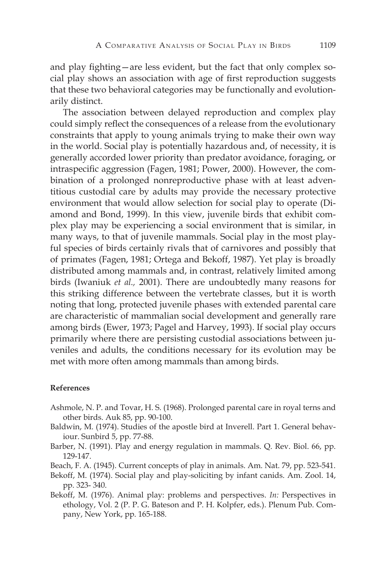and play fighting—are less evident, but the fact that only complex social play shows an association with age of first reproduction suggests that these two behavioral categories may be functionally and evolutionarily distinct.

The association between delayed reproduction and complex play could simply reflect the consequences of a release from the evolutionary constraints that apply to young animals trying to make their own way in the world. Social play is potentially hazardous and, of necessity, it is generally accorded lower priority than predator avoidance, foraging, or intraspecific aggression (Fagen, 1981; Power, 2000). However, the combination of a prolonged nonreproductive phase with at least adventitious custodial care by adults may provide the necessary protective environment that would allow selection for social play to operate (Diamond and Bond, 1999). In this view, juvenile birds that exhibit complex play may be experiencing a social environment that is similar, in many ways, to that of juvenile mammals. Social play in the most playful species of birds certainly rivals that of carnivores and possibly that of primates (Fagen, 1981; Ortega and Bekoff, 1987). Yet play is broadly distributed among mammals and, in contrast, relatively limited among birds (Iwaniuk *et al.,* 2001). There are undoubtedly many reasons for this striking difference between the vertebrate classes, but it is worth noting that long, protected juvenile phases with extended parental care are characteristic of mammalian social development and generally rare among birds (Ewer, 1973; Pagel and Harvey, 1993). If social play occurs primarily where there are persisting custodial associations between juveniles and adults, the conditions necessary for its evolution may be met with more often among mammals than among birds.

#### **References**

- Ashmole, N. P. and Tovar, H. S. (1968). Prolonged parental care in royal terns and other birds. Auk 85, pp. 90-100.
- Baldwin, M. (1974). Studies of the apostle bird at Inverell. Part 1. General behaviour. Sunbird 5, pp. 77-88.
- Barber, N. (1991). Play and energy regulation in mammals. Q. Rev. Biol. 66, pp. 129-147.
- Beach, F. A. (1945). Current concepts of play in animals. Am. Nat. 79, pp. 523-541.

Bekoff, M. (1974). Social play and play-soliciting by infant canids. Am. Zool. 14, pp. 323- 340.

Bekoff, M. (1976). Animal play: problems and perspectives. *In:* Perspectives in ethology, Vol. 2 (P. P. G. Bateson and P. H. Kolpfer, eds.). Plenum Pub. Company, New York, pp. 165-188.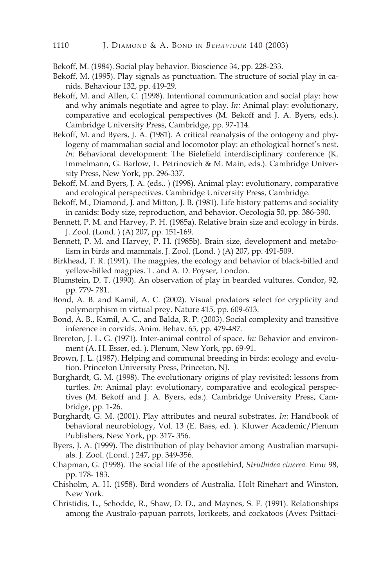Bekoff, M. (1984). Social play behavior. Bioscience 34, pp. 228-233.

- Bekoff, M. (1995). Play signals as punctuation. The structure of social play in canids. Behaviour 132, pp. 419-29.
- Bekoff, M. and Allen, C. (1998). Intentional communication and social play: how and why animals negotiate and agree to play. *In:* Animal play: evolutionary, comparative and ecological perspectives (M. Bekoff and J. A. Byers, eds.). Cambridge University Press, Cambridge, pp. 97-114.
- Bekoff, M. and Byers, J. A. (1981). A critical reanalysis of the ontogeny and phylogeny of mammalian social and locomotor play: an ethological hornet's nest. *In:* Behavioral development: The Bielefield interdisciplinary conference (K. Immelmann, G. Barlow, L. Petrinovich & M. Main, eds.). Cambridge University Press, New York, pp. 296-337.
- Bekoff, M. and Byers, J. A. (eds.. ) (1998). Animal play: evolutionary, comparative and ecological perspectives. Cambridge University Press, Cambridge.
- Bekoff, M., Diamond, J. and Mitton, J. B. (1981). Life history patterns and sociality in canids: Body size, reproduction, and behavior. Oecologia 50, pp. 386-390.
- Bennett, P. M. and Harvey, P. H. (1985a). Relative brain size and ecology in birds. J. Zool. (Lond. ) (A) 207, pp. 151-169.
- Bennett, P. M. and Harvey, P. H. (1985b). Brain size, development and metabolism in birds and mammals. J. Zool. (Lond. ) (A) 207, pp. 491-509.
- Birkhead, T. R. (1991). The magpies, the ecology and behavior of black-billed and yellow-billed magpies. T. and A. D. Poyser, London.
- Blumstein, D. T. (1990). An observation of play in bearded vultures. Condor, 92, pp. 779- 781.
- Bond, A. B. and Kamil, A. C. (2002). Visual predators select for crypticity and polymorphism in virtual prey. Nature 415, pp. 609-613.
- Bond, A. B., Kamil, A. C., and Balda, R. P. (2003). Social complexity and transitive inference in corvids. Anim. Behav. 65, pp. 479-487.
- Brereton, J. L. G. (1971). Inter-animal control of space. *In:* Behavior and environment (A. H. Esser, ed. ). Plenum, New York, pp. 69-91.
- Brown, J. L. (1987). Helping and communal breeding in birds: ecology and evolution. Princeton University Press, Princeton, NJ.
- Burghardt, G. M. (1998). The evolutionary origins of play revisited: lessons from turtles. *In:* Animal play: evolutionary, comparative and ecological perspectives (M. Bekoff and J. A. Byers, eds.). Cambridge University Press, Cambridge, pp. 1-26.
- Burghardt, G. M. (2001). Play attributes and neural substrates. *In:* Handbook of behavioral neurobiology, Vol. 13 (E. Bass, ed. ). Kluwer Academic/Plenum Publishers, New York, pp. 317- 356.
- Byers, J. A. (1999). The distribution of play behavior among Australian marsupials. J. Zool. (Lond. ) 247, pp. 349-356.
- Chapman, G. (1998). The social life of the apostlebird, *Struthidea cinerea*. Emu 98, pp. 178- 183.
- Chisholm, A. H. (1958). Bird wonders of Australia. Holt Rinehart and Winston, New York.
- Christidis, L., Schodde, R., Shaw, D. D., and Maynes, S. F. (1991). Relationships among the Australo-papuan parrots, lorikeets, and cockatoos (Aves: Psittaci-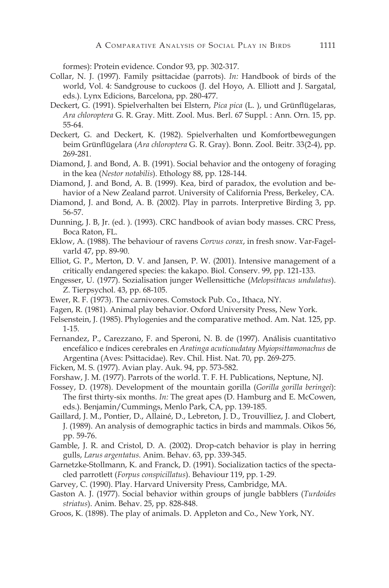formes): Protein evidence. Condor 93, pp. 302-317.

- Collar, N. J. (1997). Family psittacidae (parrots). *In:* Handbook of birds of the world, Vol. 4: Sandgrouse to cuckoos (J. del Hoyo, A. Elliott and J. Sargatal, eds.). Lynx Edicions, Barcelona, pp. 280-477.
- Deckert, G. (1991). Spielverhalten bei Elstern, *Pica pica* (L. ), und Grünflügelaras, *Ara chloroptera* G. R. Gray. Mitt. Zool. Mus. Berl. 67 Suppl. : Ann. Orn. 15, pp. 55-64.
- Deckert, G. and Deckert, K. (1982). Spielverhalten und Komfortbewegungen beim Grünflügelara (*Ara chloroptera* G. R. Gray). Bonn. Zool. Beitr. 33(2-4), pp. 269-281.
- Diamond, J. and Bond, A. B. (1991). Social behavior and the ontogeny of foraging in the kea (*Nestor notabilis*). Ethology 88, pp. 128-144.
- Diamond, J. and Bond, A. B. (1999). Kea, bird of paradox, the evolution and behavior of a New Zealand parrot. University of California Press, Berkeley, CA.
- Diamond, J. and Bond, A. B. (2002). Play in parrots. Interpretive Birding 3, pp. 56-57.
- Dunning, J. B, Jr. (ed. ). (1993). CRC handbook of avian body masses. CRC Press, Boca Raton, FL.
- Eklow, A. (1988). The behaviour of ravens *Corvus corax*, in fresh snow. Var-Fagelvarld 47, pp. 89-90.
- Elliot, G. P., Merton, D. V. and Jansen, P. W. (2001). Intensive management of a critically endangered species: the kakapo. Biol. Conserv. 99, pp. 121-133.
- Engesser, U. (1977). Sozialisation junger Wellensittiche (*Melopsittacus undulatus*). Z. Tierpsychol. 43, pp. 68-105.
- Ewer, R. F. (1973). The carnivores. Comstock Pub. Co., Ithaca, NY.
- Fagen, R. (1981). Animal play behavior. Oxford University Press, New York.
- Felsenstein, J. (1985). Phylogenies and the comparative method. Am. Nat. 125, pp. 1-15.
- Fernandez, P., Carezzano, F. and Speroni, N. B. de (1997). Análisis cuantitativo encefálico e índices cerebrales en *Aratinga acuticaudatay Myiopsittamonachus* de Argentina (Aves: Psittacidae). Rev. Chil. Hist. Nat. 70, pp. 269-275.
- Ficken, M. S. (1977). Avian play. Auk. 94, pp. 573-582.
- Forshaw, J. M. (1977). Parrots of the world. T. F. H. Publications, Neptune, NJ.
- Fossey, D. (1978). Development of the mountain gorilla (*Gorilla gorilla beringei*): The first thirty-six months. *In:* The great apes (D. Hamburg and E. McCowen, eds.). Benjamin/Cummings, Menlo Park, CA, pp. 139-185.
- Gaillard, J. M., Pontier, D., Allainé, D., Lebreton, J. D., Trouvilliez, J. and Clobert, J. (1989). An analysis of demographic tactics in birds and mammals. Oikos 56, pp. 59-76.
- Gamble, J. R. and Cristol, D. A. (2002). Drop-catch behavior is play in herring gulls, *Larus argentatus.* Anim. Behav. 63, pp. 339-345.
- Garnetzke-Stollmann, K. and Franck, D. (1991). Socialization tactics of the spectacled parrotlett (*Forpus conspicillatus*). Behaviour 119, pp. 1-29.
- Garvey, C. (1990). Play. Harvard University Press, Cambridge, MA.
- Gaston A. J. (1977). Social behavior within groups of jungle babblers (*Turdoides striatus*). Anim. Behav. 25, pp. 828-848.
- Groos, K. (1898). The play of animals. D. Appleton and Co., New York, NY.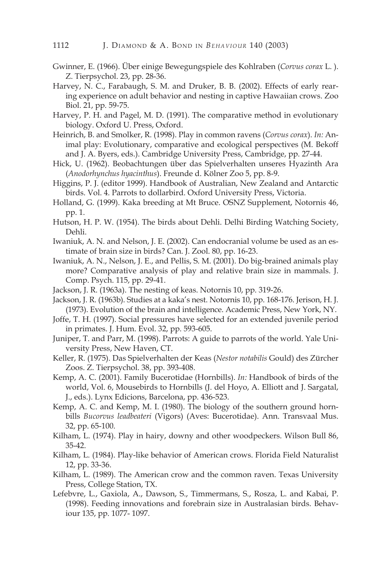- Gwinner, E. (1966). Über einige Bewegungspiele des Kohlraben (*Corvus corax* L. ). Z. Tierpsychol. 23, pp. 28-36.
- Harvey, N. C., Farabaugh, S. M. and Druker, B. B. (2002). Effects of early rearing experience on adult behavior and nesting in captive Hawaiian crows. Zoo Biol. 21, pp. 59-75.
- Harvey, P. H. and Pagel, M. D. (1991). The comparative method in evolutionary biology. Oxford U. Press, Oxford.
- Heinrich, B. and Smolker, R. (1998). Play in common ravens (*Corvus corax*). *In:* Animal play: Evolutionary, comparative and ecological perspectives (M. Bekoff and J. A. Byers, eds.). Cambridge University Press, Cambridge, pp. 27-44.
- Hick, U. (1962). Beobachtungen über das Spielverhalten unseres Hyazinth Ara (*Anodorhynchus hyacinthus*). Freunde d. Kölner Zoo 5, pp. 8-9.
- Higgins, P. J. (editor 1999). Handbook of Australian, New Zealand and Antarctic birds. Vol. 4. Parrots to dollarbird. Oxford University Press, Victoria.
- Holland, G. (1999). Kaka breeding at Mt Bruce. OSNZ Supplement, Notornis 46, pp. 1.
- Hutson, H. P. W. (1954). The birds about Dehli. Delhi Birding Watching Society, Dehli.
- Iwaniuk, A. N. and Nelson, J. E. (2002). Can endocranial volume be used as an estimate of brain size in birds? Can. J. Zool. 80, pp. 16-23.
- Iwaniuk, A. N., Nelson, J. E., and Pellis, S. M. (2001). Do big-brained animals play more? Comparative analysis of play and relative brain size in mammals. J. Comp. Psych. 115, pp. 29-41.
- Jackson, J. R. (1963a). The nesting of keas. Notornis 10, pp. 319-26.
- Jackson, J. R. (1963b). Studies at a kaka's nest. Notornis 10, pp. 168-176. Jerison, H. J. (1973). Evolution of the brain and intelligence. Academic Press, New York, NY.
- Joffe, T. H. (1997). Social pressures have selected for an extended juvenile period in primates. J. Hum. Evol. 32, pp. 593-605.
- Juniper, T. and Parr, M. (1998). Parrots: A guide to parrots of the world. Yale University Press, New Haven, CT.
- Keller, R. (1975). Das Spielverhalten der Keas (*Nestor notabilis* Gould) des Zürcher Zoos. Z. Tierpsychol. 38, pp. 393-408.
- Kemp, A. C. (2001). Family Bucerotidae (Hornbills). *In:* Handbook of birds of the world, Vol. 6, Mousebirds to Hornbills (J. del Hoyo, A. Elliott and J. Sargatal, J., eds.). Lynx Edicions, Barcelona, pp. 436-523.
- Kemp, A. C. and Kemp, M. I. (1980). The biology of the southern ground hornbills *Bucorvus leadbeateri* (Vigors) (Aves: Bucerotidae). Ann. Transvaal Mus. 32, pp. 65-100.
- Kilham, L. (1974). Play in hairy, downy and other woodpeckers. Wilson Bull 86, 35-42.
- Kilham, L. (1984). Play-like behavior of American crows. Florida Field Naturalist 12, pp. 33-36.
- Kilham, L. (1989). The American crow and the common raven. Texas University Press, College Station, TX.
- Lefebvre, L., Gaxiola, A., Dawson, S., Timmermans, S., Rosza, L. and Kabai, P. (1998). Feeding innovations and forebrain size in Australasian birds. Behaviour 135, pp. 1077- 1097.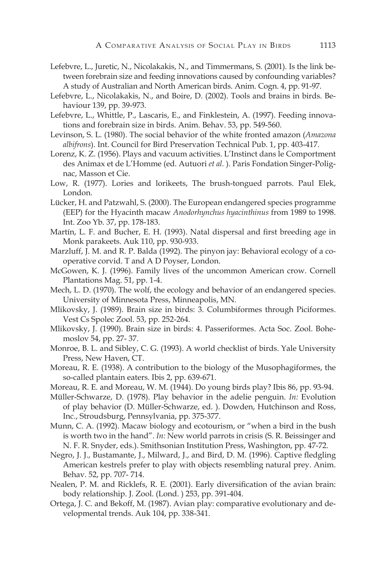- Lefebvre, L., Juretic, N., Nicolakakis, N., and Timmermans, S. (2001). Is the link between forebrain size and feeding innovations caused by confounding variables? A study of Australian and North American birds. Anim. Cogn. 4, pp. 91-97.
- Lefebvre, L., Nicolakakis, N., and Boire, D. (2002). Tools and brains in birds. Behaviour 139, pp. 39-973.
- Lefebvre, L., Whittle, P., Lascaris, E., and Finklestein, A. (1997). Feeding innovations and forebrain size in birds. Anim. Behav. 53, pp. 549-560.
- Levinson, S. L. (1980). The social behavior of the white fronted amazon (*Amazona albifrons*). Int. Council for Bird Preservation Technical Pub. 1, pp. 403-417.
- Lorenz, K. Z. (1956). Plays and vacuum activities. L'Instinct dans le Comportment des Animax et de L'Homme (ed. Autuori *et al.* ). Paris Fondation Singer-Polignac, Masson et Cie.
- Low, R. (1977). Lories and lorikeets, The brush-tongued parrots. Paul Elek, London.
- Lücker, H. and Patzwahl, S. (2000). The European endangered species programme (EEP) for the Hyacinth macaw *Anodorhynchus hyacinthinus* from 1989 to 1998. Int. Zoo Yb. 37, pp. 178-183.
- Martín, L. F. and Bucher, E. H. (1993). Natal dispersal and first breeding age in Monk parakeets. Auk 110, pp. 930-933.
- Marzluff, J. M. and R. P. Balda (1992). The pinyon jay: Behavioral ecology of a cooperative corvid. T and A D Poyser, London.
- McGowen, K. J. (1996). Family lives of the uncommon American crow. Cornell Plantations Mag. 51, pp. 1-4.
- Mech, L. D. (1970). The wolf, the ecology and behavior of an endangered species. University of Minnesota Press, Minneapolis, MN.
- Mlikovsky, J. (1989). Brain size in birds: 3. Columbiformes through Piciformes. Vest Cs Spolec Zool. 53, pp. 252-264.
- Mlikovsky, J. (1990). Brain size in birds: 4. Passeriformes. Acta Soc. Zool. Bohemoslov 54, pp. 27- 37.
- Monroe, B. L. and Sibley, C. G. (1993). A world checklist of birds. Yale University Press, New Haven, CT.
- Moreau, R. E. (1938). A contribution to the biology of the Musophagiformes, the so-called plantain eaters. Ibis 2, pp. 639-671.
- Moreau, R. E. and Moreau, W. M. (1944). Do young birds play? Ibis 86, pp. 93-94.
- Müller-Schwarze, D. (1978). Play behavior in the adelie penguin. *In:* Evolution of play behavior (D. Müller-Schwarze, ed. ). Dowden, Hutchinson and Ross, Inc., Stroudsburg, Pennsylvania, pp. 375-377.
- Munn, C. A. (1992). Macaw biology and ecotourism, or "when a bird in the bush is worth two in the hand". *In:* New world parrots in crisis (S. R. Beissinger and N. F. R. Snyder, eds.). Smithsonian Institution Press, Washington, pp. 47-72.
- Negro, J. J., Bustamante, J., Milward, J., and Bird, D. M. (1996). Captive fledgling American kestrels prefer to play with objects resembling natural prey. Anim. Behav. 52, pp. 707- 714.
- Nealen, P. M. and Ricklefs, R. E. (2001). Early diversification of the avian brain: body relationship. J. Zool. (Lond. ) 253, pp. 391-404.
- Ortega, J. C. and Bekoff, M. (1987). Avian play: comparative evolutionary and developmental trends. Auk 104, pp. 338-341.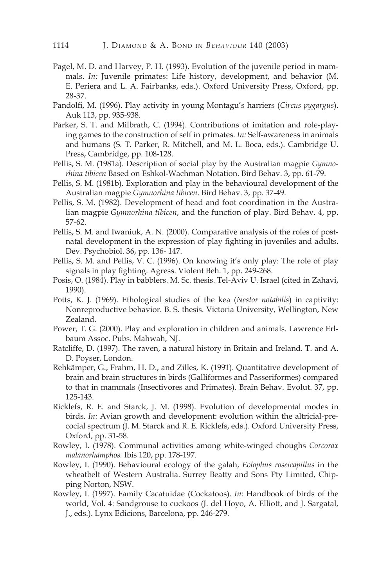- Pagel, M. D. and Harvey, P. H. (1993). Evolution of the juvenile period in mammals. *In:* Juvenile primates: Life history, development, and behavior (M. E. Periera and L. A. Fairbanks, eds.). Oxford University Press, Oxford, pp. 28-37.
- Pandolfi, M. (1996). Play activity in young Montagu's harriers (*Circus pygargus*). Auk 113, pp. 935-938.
- Parker, S. T. and Milbrath, C. (1994). Contributions of imitation and role-playing games to the construction of self in primates. *In:* Self-awareness in animals and humans (S. T. Parker, R. Mitchell, and M. L. Boca, eds.). Cambridge U. Press, Cambridge, pp. 108-128.
- Pellis, S. M. (1981a). Description of social play by the Australian magpie *Gymnorhina tibicen* Based on Eshkol-Wachman Notation. Bird Behav. 3, pp. 61-79.
- Pellis, S. M. (1981b). Exploration and play in the behavioural development of the Australian magpie *Gymnorhina tibicen*. Bird Behav. 3, pp. 37-49.
- Pellis, S. M. (1982). Development of head and foot coordination in the Australian magpie *Gymnorhina tibicen*, and the function of play. Bird Behav. 4, pp. 57-62.
- Pellis, S. M. and Iwaniuk, A. N. (2000). Comparative analysis of the roles of postnatal development in the expression of play fighting in juveniles and adults. Dev. Psychobiol. 36, pp. 136- 147.
- Pellis, S. M. and Pellis, V. C. (1996). On knowing it's only play: The role of play signals in play fighting. Agress. Violent Beh. 1, pp. 249-268.
- Posis, O. (1984). Play in babblers. M. Sc. thesis. Tel-Aviv U. Israel (cited in Zahavi, 1990).
- Potts, K. J. (1969). Ethological studies of the kea (*Nestor notabilis*) in captivity: Nonreproductive behavior. B. S. thesis. Victoria University, Wellington, New Zealand.
- Power, T. G. (2000). Play and exploration in children and animals. Lawrence Erlbaum Assoc. Pubs. Mahwah, NJ.
- Ratcliffe, D. (1997). The raven, a natural history in Britain and Ireland. T. and A. D. Poyser, London.
- Rehkämper, G., Frahm, H. D., and Zilles, K. (1991). Quantitative development of brain and brain structures in birds (Galliformes and Passeriformes) compared to that in mammals (Insectivores and Primates). Brain Behav. Evolut. 37, pp. 125-143.
- Ricklefs, R. E. and Starck, J. M. (1998). Evolution of developmental modes in birds. *In:* Avian growth and development: evolution within the altricial-precocial spectrum (J. M. Starck and R. E. Ricklefs, eds.). Oxford University Press, Oxford, pp. 31-58.
- Rowley, I. (1978). Communal activities among white-winged choughs *Corcorax malanorhamphos.* Ibis 120, pp. 178-197.
- Rowley, I. (1990). Behavioural ecology of the galah, *Eolophus roseicapillus* in the wheatbelt of Western Australia. Surrey Beatty and Sons Pty Limited, Chipping Norton, NSW.
- Rowley, I. (1997). Family Cacatuidae (Cockatoos). *In:* Handbook of birds of the world, Vol. 4: Sandgrouse to cuckoos (J. del Hoyo, A. Elliott, and J. Sargatal, J., eds.). Lynx Edicions, Barcelona, pp. 246-279.